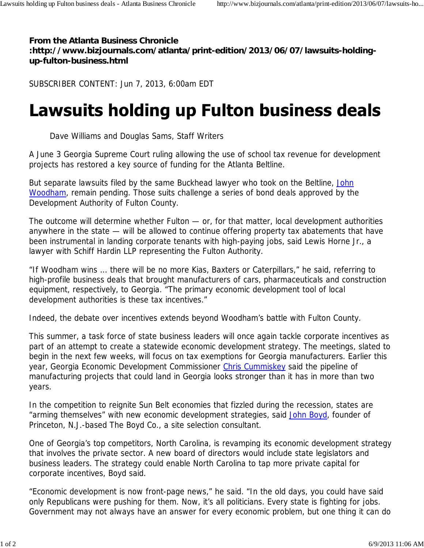**From the Atlanta Business Chronicle :http://www.bizjournals.com/atlanta/print-edition/2013/06/07/lawsuits-holdingup-fulton-business.html**

SUBSCRIBER CONTENT: Jun 7, 2013, 6:00am EDT

## **Lawsuits holding up Fulton business deals**

Dave Williams and Douglas Sams, Staff Writers

A June 3 Georgia Supreme Court ruling allowing the use of school tax revenue for development projects has restored a key source of funding for the Atlanta Beltline.

But separate lawsuits filed by the same Buckhead lawyer who took on the Beltline, John Woodham, remain pending. Those suits challenge a series of bond deals approved by the Development Authority of Fulton County.

The outcome will determine whether Fulton — or, for that matter, local development authorities anywhere in the state — will be allowed to continue offering property tax abatements that have been instrumental in landing corporate tenants with high-paying jobs, said Lewis Horne Jr., a lawyer with Schiff Hardin LLP representing the Fulton Authority.

"If Woodham wins ... there will be no more Kias, Baxters or Caterpillars," he said, referring to high-profile business deals that brought manufacturers of cars, pharmaceuticals and construction equipment, respectively, to Georgia. "The primary economic development tool of local development authorities is these tax incentives."

Indeed, the debate over incentives extends beyond Woodham's battle with Fulton County.

This summer, a task force of state business leaders will once again tackle corporate incentives as part of an attempt to create a statewide economic development strategy. The meetings, slated to begin in the next few weeks, will focus on tax exemptions for Georgia manufacturers. Earlier this year, Georgia Economic Development Commissioner Chris Cummiskey said the pipeline of manufacturing projects that could land in Georgia looks stronger than it has in more than two years.

In the competition to reignite Sun Belt economies that fizzled during the recession, states are "arming themselves" with new economic development strategies, said John Boyd, founder of Princeton, N.J.-based The Boyd Co., a site selection consultant.

One of Georgia's top competitors, North Carolina, is revamping its economic development strategy that involves the private sector. A new board of directors would include state legislators and business leaders. The strategy could enable North Carolina to tap more private capital for corporate incentives, Boyd said.

"Economic development is now front-page news," he said. "In the old days, you could have said only Republicans were pushing for them. Now, it's all politicians. Every state is fighting for jobs. Government may not always have an answer for every economic problem, but one thing it can do